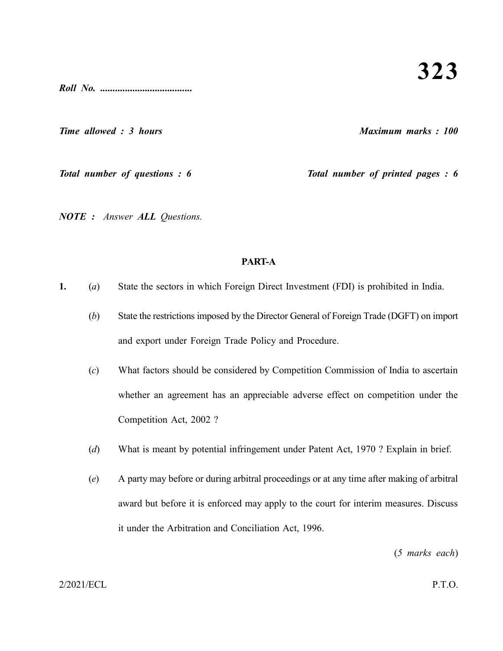*Roll No. .....................................*

*Time allowed : 3 hours Maximum marks : 100*

*Total number of questions : 6 Total number of printed pages : 6*

*NOTE : Answer ALL Questions.*

## **PART-A**

- **1.** (*a*) State the sectors in which Foreign Direct Investment (FDI) is prohibited in India.
	- (*b*) State the restrictions imposed by the Director General of Foreign Trade (DGFT) on import and export under Foreign Trade Policy and Procedure.
	- (*c*) What factors should be considered by Competition Commission of India to ascertain whether an agreement has an appreciable adverse effect on competition under the Competition Act, 2002 ?
	- (*d*) What is meant by potential infringement under Patent Act, 1970 ? Explain in brief.
	- (*e*) A party may before or during arbitral proceedings or at any time after making of arbitral award but before it is enforced may apply to the court for interim measures. Discuss it under the Arbitration and Conciliation Act, 1996.

(*5 marks each*)

## 2/2021/ECL P.T.O.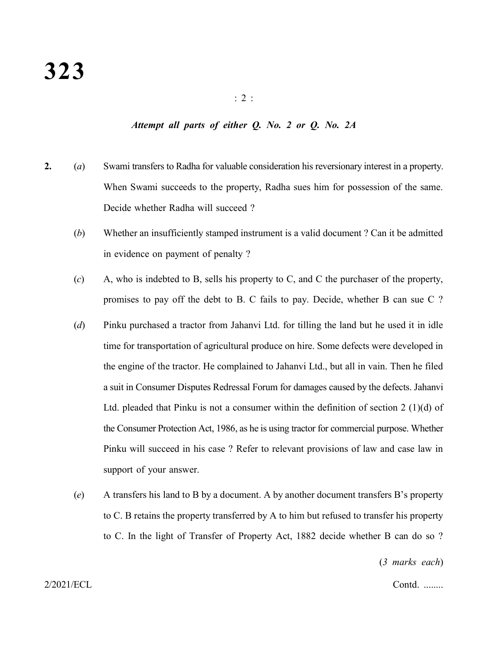## *Attempt all parts of either Q. No. 2 or Q. No. 2A*

- **2.** (*a*) Swami transfers to Radha for valuable consideration his reversionary interest in a property. When Swami succeeds to the property, Radha sues him for possession of the same. Decide whether Radha will succeed ?
	- (*b*) Whether an insufficiently stamped instrument is a valid document ? Can it be admitted in evidence on payment of penalty ?
	- (*c*) A, who is indebted to B, sells his property to C, and C the purchaser of the property, promises to pay off the debt to B. C fails to pay. Decide, whether B can sue C ?
	- (*d*) Pinku purchased a tractor from Jahanvi Ltd. for tilling the land but he used it in idle time for transportation of agricultural produce on hire. Some defects were developed in the engine of the tractor. He complained to Jahanvi Ltd., but all in vain. Then he filed a suit in Consumer Disputes Redressal Forum for damages caused by the defects. Jahanvi Ltd. pleaded that Pinku is not a consumer within the definition of section 2 (1)(d) of the Consumer Protection Act, 1986, as he is using tractor for commercial purpose. Whether Pinku will succeed in his case ? Refer to relevant provisions of law and case law in support of your answer.
	- (*e*) A transfers his land to B by a document. A by another document transfers B's property to C. B retains the property transferred by A to him but refused to transfer his property to C. In the light of Transfer of Property Act, 1882 decide whether B can do so ?

(*3 marks each*)

2/2021/ECL Contd. ........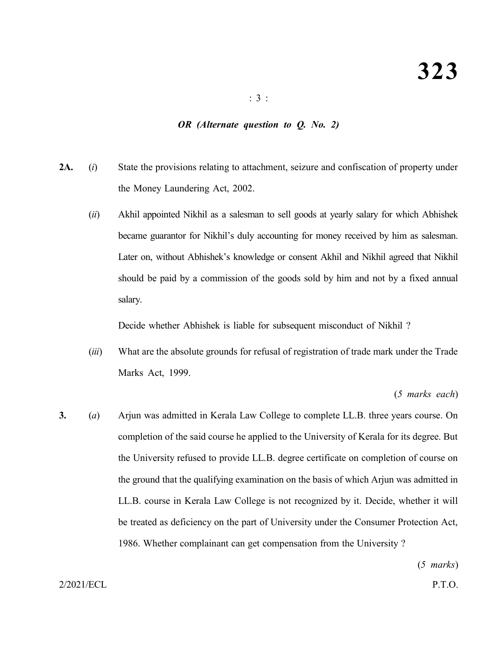: 3 :

## *OR (Alternate question to Q. No. 2)*

- **2A.** (*i*) State the provisions relating to attachment, seizure and confiscation of property under the Money Laundering Act, 2002.
	- (*ii*) Akhil appointed Nikhil as a salesman to sell goods at yearly salary for which Abhishek became guarantor for Nikhil's duly accounting for money received by him as salesman. Later on, without Abhishek's knowledge or consent Akhil and Nikhil agreed that Nikhil should be paid by a commission of the goods sold by him and not by a fixed annual salary.

Decide whether Abhishek is liable for subsequent misconduct of Nikhil ?

(*iii*) What are the absolute grounds for refusal of registration of trade mark under the Trade Marks Act, 1999.

(*5 marks each*)

**3.** (*a*) Arjun was admitted in Kerala Law College to complete LL.B. three years course. On completion of the said course he applied to the University of Kerala for its degree. But the University refused to provide LL.B. degree certificate on completion of course on the ground that the qualifying examination on the basis of which Arjun was admitted in LL.B. course in Kerala Law College is not recognized by it. Decide, whether it will be treated as deficiency on the part of University under the Consumer Protection Act, 1986. Whether complainant can get compensation from the University ?

(*5 marks*)

2/2021/ECL P.T.O.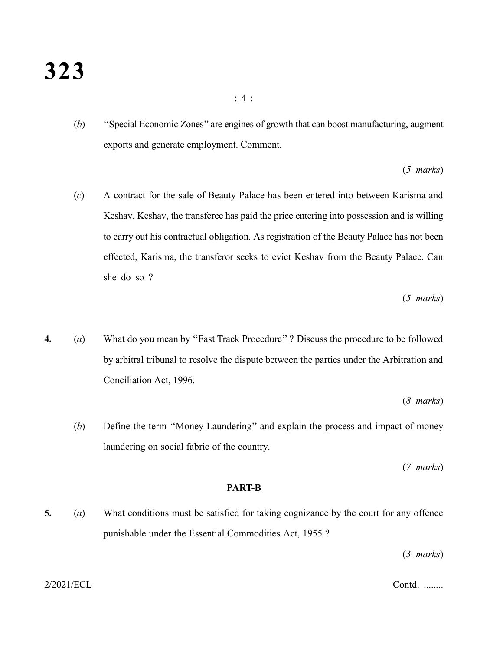(*b*) ''Special Economic Zones'' are engines of growth that can boost manufacturing, augment exports and generate employment. Comment.

(*5 marks*)

(*c*) A contract for the sale of Beauty Palace has been entered into between Karisma and Keshav. Keshav, the transferee has paid the price entering into possession and is willing to carry out his contractual obligation. As registration of the Beauty Palace has not been effected, Karisma, the transferor seeks to evict Keshav from the Beauty Palace. Can she do so ?

(*5 marks*)

**4.** (*a*) What do you mean by ''Fast Track Procedure'' ? Discuss the procedure to be followed by arbitral tribunal to resolve the dispute between the parties under the Arbitration and Conciliation Act, 1996.

(*8 marks*)

(*b*) Define the term ''Money Laundering'' and explain the process and impact of money laundering on social fabric of the country.

(*7 marks*)

#### **PART-B**

**5.** (*a*) What conditions must be satisfied for taking cognizance by the court for any offence punishable under the Essential Commodities Act, 1955 ?

(*3 marks*)

: 4 :

2/2021/ECL Contd. ........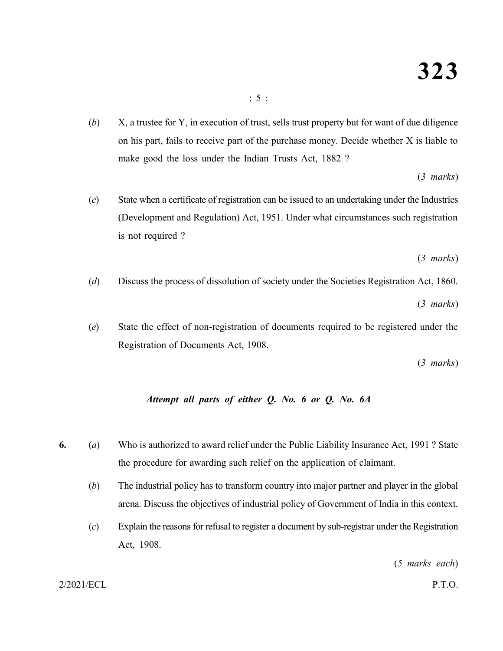(*b*) X, a trustee for Y, in execution of trust, sells trust property but for want of due diligence on his part, fails to receive part of the purchase money. Decide whether X is liable to make good the loss under the Indian Trusts Act, 1882 ?

(*3 marks*)

(*c*) State when a certificate of registration can be issued to an undertaking under the Industries (Development and Regulation) Act, 1951. Under what circumstances such registration is not required ?

(*3 marks*)

- (*d*) Discuss the process of dissolution of society under the Societies Registration Act, 1860. (*3 marks*)
- (*e*) State the effect of non-registration of documents required to be registered under the Registration of Documents Act, 1908.

(*3 marks*)

## *Attempt all parts of either Q. No. 6 or Q. No. 6A*

- **6.** (*a*) Who is authorized to award relief under the Public Liability Insurance Act, 1991 ? State the procedure for awarding such relief on the application of claimant.
	- (*b*) The industrial policy has to transform country into major partner and player in the global arena. Discuss the objectives of industrial policy of Government of India in this context.
	- (*c*) Explain the reasons for refusal to register a document by sub-registrar under the Registration Act, 1908.

(*5 marks each*)

2/2021/ECL P.T.O.